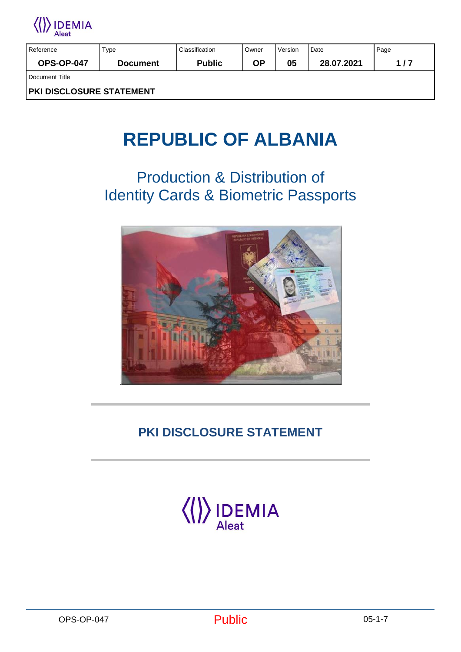

| Reference                       | Type            | Classification | Owner | Version | Date       | Page |  |
|---------------------------------|-----------------|----------------|-------|---------|------------|------|--|
| <b>OPS-OP-047</b>               | <b>Document</b> | <b>Public</b>  | ΟP    | 05      | 28.07.2021 | 1/7  |  |
| Document Title                  |                 |                |       |         |            |      |  |
| <b>PKI DISCLOSURE STATEMENT</b> |                 |                |       |         |            |      |  |

# **REPUBLIC OF ALBANIA**

## Production & Distribution of Identity Cards & Biometric Passports



## **PKI DISCLOSURE STATEMENT**

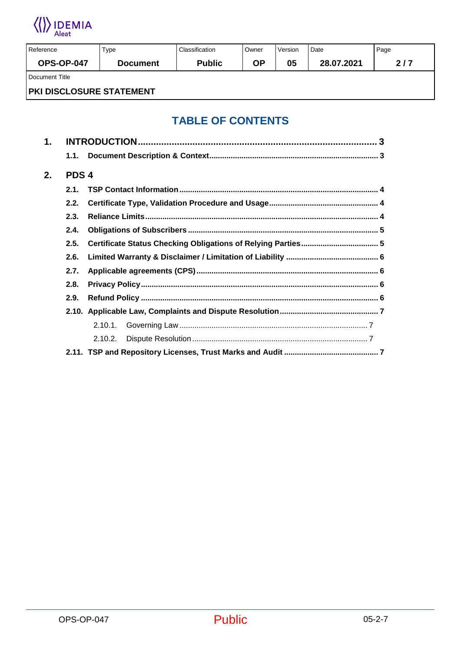

| Reference                | Type            | Classification | Owner | Version | Date       | Page |  |  |
|--------------------------|-----------------|----------------|-------|---------|------------|------|--|--|
| <b>OPS-OP-047</b>        | <b>Document</b> | <b>Public</b>  | ΟP    | 05      | 28.07.2021 | 2/7  |  |  |
| Document Title           |                 |                |       |         |            |      |  |  |
| PKI DISCLOSURE STATEMENT |                 |                |       |         |            |      |  |  |

#### **TABLE OF CONTENTS**

| 1. |                  |            |  |
|----|------------------|------------|--|
|    | 1.1.             |            |  |
| 2. | PDS <sub>4</sub> |            |  |
|    | 2.1.             |            |  |
|    | 2.2.             |            |  |
|    | 2.3.             |            |  |
|    | 2.4.             |            |  |
|    | 2.5.             |            |  |
|    | 2.6.             |            |  |
|    | 2.7.             |            |  |
|    | 2.8.             |            |  |
|    | 2.9.             |            |  |
|    |                  |            |  |
|    |                  | $2.10.1$ . |  |
|    |                  | 2.10.2.    |  |
|    |                  |            |  |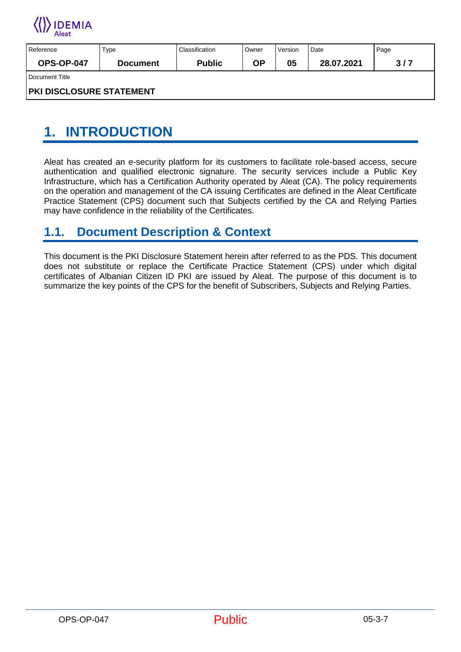

| Reference                | Type            | Classification | Owner | Version | Date       | Page |  |
|--------------------------|-----------------|----------------|-------|---------|------------|------|--|
| <b>OPS-OP-047</b>        | <b>Document</b> | <b>Public</b>  | ΟP    | 05      | 28.07.2021 | 3/7  |  |
| Document Title           |                 |                |       |         |            |      |  |
| PKI DISCLOSURE STATEMENT |                 |                |       |         |            |      |  |

## <span id="page-2-0"></span>**1. INTRODUCTION**

Aleat has created an e-security platform for its customers to facilitate role-based access, secure authentication and qualified electronic signature. The security services include a Public Key Infrastructure, which has a Certification Authority operated by Aleat (CA). The policy requirements on the operation and management of the CA issuing Certificates are defined in the Aleat Certificate Practice Statement (CPS) document such that Subjects certified by the CA and Relying Parties may have confidence in the reliability of the Certificates.

#### <span id="page-2-1"></span>**1.1. Document Description & Context**

This document is the PKI Disclosure Statement herein after referred to as the PDS. This document does not substitute or replace the Certificate Practice Statement (CPS) under which digital certificates of Albanian Citizen ID PKI are issued by Aleat. The purpose of this document is to summarize the key points of the CPS for the benefit of Subscribers, Subjects and Relying Parties.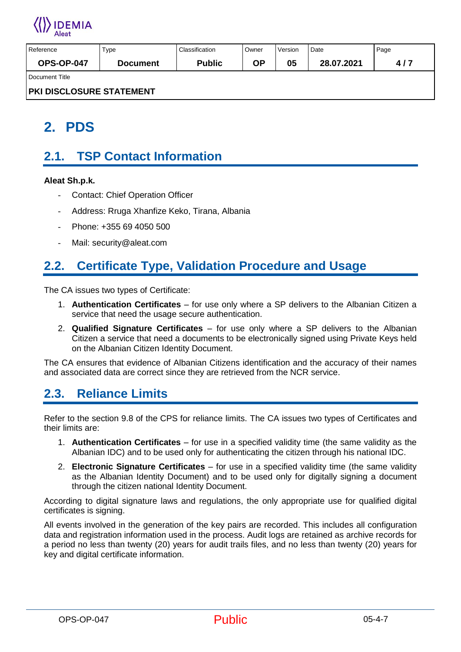

| Reference                | Type            | Classification | Owner | Version | Date       | Page |  |
|--------------------------|-----------------|----------------|-------|---------|------------|------|--|
| <b>OPS-OP-047</b>        | <b>Document</b> | <b>Public</b>  | ΟP    | 05      | 28.07.2021 | 4/7  |  |
| Document Title           |                 |                |       |         |            |      |  |
| PKI DISCLOSURE STATEMENT |                 |                |       |         |            |      |  |

## <span id="page-3-0"></span>**2. PDS**

### <span id="page-3-1"></span>**2.1. TSP Contact Information**

#### **Aleat Sh.p.k.**

- **Contact: Chief Operation Officer**
- Address: Rruga Xhanfize Keko, Tirana, Albania
- Phone: +355 69 4050 500
- Mail: security@aleat.com

### <span id="page-3-2"></span>**2.2. Certificate Type, Validation Procedure and Usage**

The CA issues two types of Certificate:

- 1. **Authentication Certificates**  for use only where a SP delivers to the Albanian Citizen a service that need the usage secure authentication.
- 2. **Qualified Signature Certificates**  for use only where a SP delivers to the Albanian Citizen a service that need a documents to be electronically signed using Private Keys held on the Albanian Citizen Identity Document.

The CA ensures that evidence of Albanian Citizens identification and the accuracy of their names and associated data are correct since they are retrieved from the NCR service.

#### <span id="page-3-3"></span>**2.3. Reliance Limits**

Refer to the section 9.8 of the CPS for reliance limits. The CA issues two types of Certificates and their limits are:

- 1. **Authentication Certificates**  for use in a specified validity time (the same validity as the Albanian IDC) and to be used only for authenticating the citizen through his national IDC.
- 2. **Electronic Signature Certificates**  for use in a specified validity time (the same validity as the Albanian Identity Document) and to be used only for digitally signing a document through the citizen national Identity Document.

According to digital signature laws and regulations, the only appropriate use for qualified digital certificates is signing.

All events involved in the generation of the key pairs are recorded. This includes all configuration data and registration information used in the process. Audit logs are retained as archive records for a period no less than twenty (20) years for audit trails files, and no less than twenty (20) years for key and digital certificate information.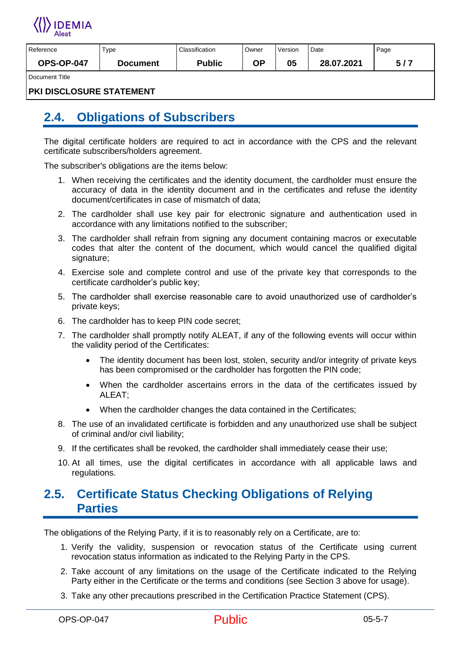

| Reference         | Туре     | Classification | Owner | Version | Date       | Page      |
|-------------------|----------|----------------|-------|---------|------------|-----------|
| <b>OPS-OP-047</b> | Document | <b>Public</b>  | םח    | 05      | 28.07.2021 | - 17<br>- |
| Dooumont Title    |          |                |       |         |            |           |

Document Title

**PKI DISCLOSURE STATEMENT**

#### <span id="page-4-0"></span>**2.4. Obligations of Subscribers**

The digital certificate holders are required to act in accordance with the CPS and the relevant certificate subscribers/holders agreement.

The subscriber's obligations are the items below:

- 1. When receiving the certificates and the identity document, the cardholder must ensure the accuracy of data in the identity document and in the certificates and refuse the identity document/certificates in case of mismatch of data;
- 2. The cardholder shall use key pair for electronic signature and authentication used in accordance with any limitations notified to the subscriber;
- 3. The cardholder shall refrain from signing any document containing macros or executable codes that alter the content of the document, which would cancel the qualified digital signature;
- 4. Exercise sole and complete control and use of the private key that corresponds to the certificate cardholder's public key;
- 5. The cardholder shall exercise reasonable care to avoid unauthorized use of cardholder's private keys;
- 6. The cardholder has to keep PIN code secret;
- 7. The cardholder shall promptly notify ALEAT, if any of the following events will occur within the validity period of the Certificates:
	- The identity document has been lost, stolen, security and/or integrity of private keys has been compromised or the cardholder has forgotten the PIN code;
	- When the cardholder ascertains errors in the data of the certificates issued by ALEAT;
	- When the cardholder changes the data contained in the Certificates;
- 8. The use of an invalidated certificate is forbidden and any unauthorized use shall be subject of criminal and/or civil liability;
- 9. If the certificates shall be revoked, the cardholder shall immediately cease their use;
- 10. At all times, use the digital certificates in accordance with all applicable laws and regulations.

#### <span id="page-4-1"></span>**2.5. Certificate Status Checking Obligations of Relying Parties**

The obligations of the Relying Party, if it is to reasonably rely on a Certificate, are to:

- 1. Verify the validity, suspension or revocation status of the Certificate using current revocation status information as indicated to the Relying Party in the CPS.
- 2. Take account of any limitations on the usage of the Certificate indicated to the Relying Party either in the Certificate or the terms and conditions (see Section 3 above for usage).
- 3. Take any other precautions prescribed in the Certification Practice Statement (CPS).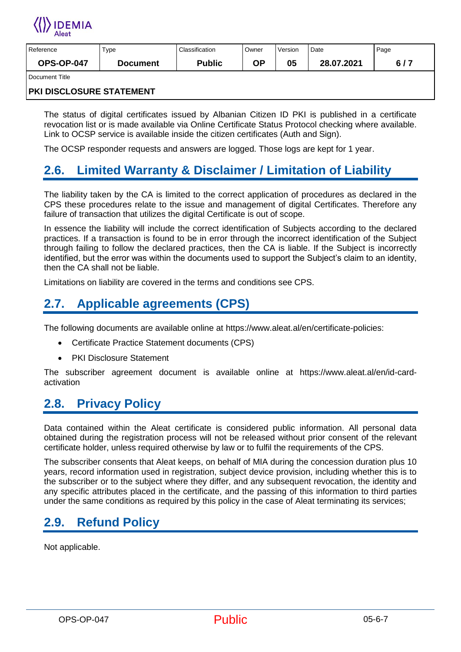

| Reference         | Туре     | Classification | Owner | Version | Date       | Page |
|-------------------|----------|----------------|-------|---------|------------|------|
| <b>OPS-OP-047</b> | Document | <b>Public</b>  | ΟP    | 05      | 28.07.2021 | 6/7  |
| Document Title    |          |                |       |         |            |      |

#### **PKI DISCLOSURE STATEMENT**

The status of digital certificates issued by Albanian Citizen ID PKI is published in a certificate revocation list or is made available via Online Certificate Status Protocol checking where available. Link to OCSP service is available inside the citizen certificates (Auth and Sign).

The OCSP responder requests and answers are logged. Those logs are kept for 1 year.

#### <span id="page-5-0"></span>**2.6. Limited Warranty & Disclaimer / Limitation of Liability**

The liability taken by the CA is limited to the correct application of procedures as declared in the CPS these procedures relate to the issue and management of digital Certificates. Therefore any failure of transaction that utilizes the digital Certificate is out of scope.

In essence the liability will include the correct identification of Subjects according to the declared practices. If a transaction is found to be in error through the incorrect identification of the Subject through failing to follow the declared practices, then the CA is liable. If the Subject is incorrectly identified, but the error was within the documents used to support the Subject's claim to an identity, then the CA shall not be liable.

Limitations on liability are covered in the terms and conditions see CPS.

### <span id="page-5-1"></span>**2.7. Applicable agreements (CPS)**

The following documents are available online at https://www.aleat.al/en/certificate-policies:

- Certificate Practice Statement documents (CPS)
- PKI Disclosure Statement

The subscriber agreement document is available online at https://www.aleat.al/en/id-cardactivation

#### <span id="page-5-2"></span>**2.8. Privacy Policy**

Data contained within the Aleat certificate is considered public information. All personal data obtained during the registration process will not be released without prior consent of the relevant certificate holder, unless required otherwise by law or to fulfil the requirements of the CPS.

The subscriber consents that Aleat keeps, on behalf of MIA during the concession duration plus 10 years, record information used in registration, subject device provision, including whether this is to the subscriber or to the subject where they differ, and any subsequent revocation, the identity and any specific attributes placed in the certificate, and the passing of this information to third parties under the same conditions as required by this policy in the case of Aleat terminating its services;

#### <span id="page-5-3"></span>**2.9. Refund Policy**

Not applicable.